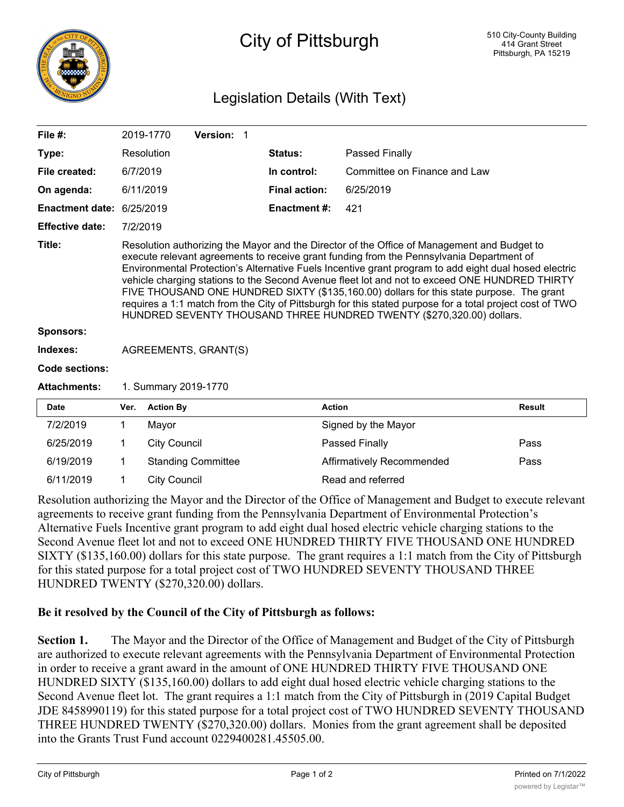

## City of Pittsburgh

## Legislation Details (With Text)

| File $#$ :                                                                                                    |                                                                                                                                                                                                                                                                                                                                                                                                                                                                                                                                                                                                                                                                                    | 2019-1770           | Version: 1                |  |                      |                                  |               |
|---------------------------------------------------------------------------------------------------------------|------------------------------------------------------------------------------------------------------------------------------------------------------------------------------------------------------------------------------------------------------------------------------------------------------------------------------------------------------------------------------------------------------------------------------------------------------------------------------------------------------------------------------------------------------------------------------------------------------------------------------------------------------------------------------------|---------------------|---------------------------|--|----------------------|----------------------------------|---------------|
| Type:                                                                                                         |                                                                                                                                                                                                                                                                                                                                                                                                                                                                                                                                                                                                                                                                                    | Resolution          |                           |  | <b>Status:</b>       | Passed Finally                   |               |
| File created:                                                                                                 | 6/7/2019                                                                                                                                                                                                                                                                                                                                                                                                                                                                                                                                                                                                                                                                           |                     |                           |  | In control:          | Committee on Finance and Law     |               |
| On agenda:                                                                                                    |                                                                                                                                                                                                                                                                                                                                                                                                                                                                                                                                                                                                                                                                                    | 6/11/2019           |                           |  | <b>Final action:</b> | 6/25/2019                        |               |
| Enactment date: 6/25/2019                                                                                     |                                                                                                                                                                                                                                                                                                                                                                                                                                                                                                                                                                                                                                                                                    |                     |                           |  | <b>Enactment #:</b>  | 421                              |               |
| <b>Effective date:</b>                                                                                        | 7/2/2019                                                                                                                                                                                                                                                                                                                                                                                                                                                                                                                                                                                                                                                                           |                     |                           |  |                      |                                  |               |
| Title:                                                                                                        | Resolution authorizing the Mayor and the Director of the Office of Management and Budget to<br>execute relevant agreements to receive grant funding from the Pennsylvania Department of<br>Environmental Protection's Alternative Fuels Incentive grant program to add eight dual hosed electric<br>vehicle charging stations to the Second Avenue fleet lot and not to exceed ONE HUNDRED THIRTY<br>FIVE THOUSAND ONE HUNDRED SIXTY (\$135,160.00) dollars for this state purpose. The grant<br>requires a 1:1 match from the City of Pittsburgh for this stated purpose for a total project cost of TWO<br>HUNDRED SEVENTY THOUSAND THREE HUNDRED TWENTY (\$270,320.00) dollars. |                     |                           |  |                      |                                  |               |
| Sponsors:                                                                                                     |                                                                                                                                                                                                                                                                                                                                                                                                                                                                                                                                                                                                                                                                                    |                     |                           |  |                      |                                  |               |
| Indexes:                                                                                                      | AGREEMENTS, GRANT(S)                                                                                                                                                                                                                                                                                                                                                                                                                                                                                                                                                                                                                                                               |                     |                           |  |                      |                                  |               |
| Code sections:                                                                                                |                                                                                                                                                                                                                                                                                                                                                                                                                                                                                                                                                                                                                                                                                    |                     |                           |  |                      |                                  |               |
| <b>Attachments:</b>                                                                                           | 1. Summary 2019-1770                                                                                                                                                                                                                                                                                                                                                                                                                                                                                                                                                                                                                                                               |                     |                           |  |                      |                                  |               |
| <b>Date</b>                                                                                                   | Ver.                                                                                                                                                                                                                                                                                                                                                                                                                                                                                                                                                                                                                                                                               | <b>Action By</b>    |                           |  |                      | <b>Action</b>                    | <b>Result</b> |
| 7/2/2019                                                                                                      | $\mathbf 1$                                                                                                                                                                                                                                                                                                                                                                                                                                                                                                                                                                                                                                                                        | Mayor               |                           |  |                      | Signed by the Mayor              |               |
| 6/25/2019                                                                                                     | 1                                                                                                                                                                                                                                                                                                                                                                                                                                                                                                                                                                                                                                                                                  | <b>City Council</b> |                           |  |                      | Passed Finally                   | Pass          |
| 6/19/2019                                                                                                     | 1                                                                                                                                                                                                                                                                                                                                                                                                                                                                                                                                                                                                                                                                                  |                     | <b>Standing Committee</b> |  |                      | <b>Affirmatively Recommended</b> | Pass          |
| 6/11/2019                                                                                                     | $\mathbf 1$                                                                                                                                                                                                                                                                                                                                                                                                                                                                                                                                                                                                                                                                        | <b>City Council</b> |                           |  |                      | Read and referred                |               |
| Description outborizing the Mayor and the Director of the Office of Managament and Pudget to execute relayant |                                                                                                                                                                                                                                                                                                                                                                                                                                                                                                                                                                                                                                                                                    |                     |                           |  |                      |                                  |               |

Resolution authorizing the Mayor and the Director of the Office of Management and Budget to execute relevant agreements to receive grant funding from the Pennsylvania Department of Environmental Protection's Alternative Fuels Incentive grant program to add eight dual hosed electric vehicle charging stations to the Second Avenue fleet lot and not to exceed ONE HUNDRED THIRTY FIVE THOUSAND ONE HUNDRED SIXTY (\$135,160.00) dollars for this state purpose. The grant requires a 1:1 match from the City of Pittsburgh for this stated purpose for a total project cost of TWO HUNDRED SEVENTY THOUSAND THREE HUNDRED TWENTY (\$270,320.00) dollars.

## **Be it resolved by the Council of the City of Pittsburgh as follows:**

**Section 1.** The Mayor and the Director of the Office of Management and Budget of the City of Pittsburgh are authorized to execute relevant agreements with the Pennsylvania Department of Environmental Protection in order to receive a grant award in the amount of ONE HUNDRED THIRTY FIVE THOUSAND ONE HUNDRED SIXTY (\$135,160.00) dollars to add eight dual hosed electric vehicle charging stations to the Second Avenue fleet lot. The grant requires a 1:1 match from the City of Pittsburgh in (2019 Capital Budget JDE 8458990119) for this stated purpose for a total project cost of TWO HUNDRED SEVENTY THOUSAND THREE HUNDRED TWENTY (\$270,320.00) dollars. Monies from the grant agreement shall be deposited into the Grants Trust Fund account 0229400281.45505.00.